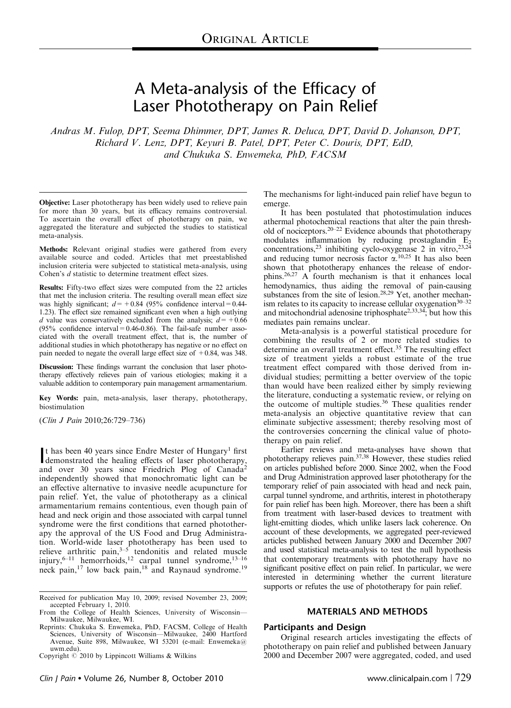# A Meta-analysis of the Efficacy of Laser Phototherapy on Pain Relief

Andras M. Fulop, DPT, Seema Dhimmer, DPT, James R. Deluca, DPT, David D. Johanson, DPT, Richard V. Lenz, DPT, Keyuri B. Patel, DPT, Peter C. Douris, DPT, EdD, and Chukuka S. Enwemeka, PhD, FACSM

Objective: Laser phototherapy has been widely used to relieve pain for more than 30 years, but its efficacy remains controversial. To ascertain the overall effect of phototherapy on pain, we aggregated the literature and subjected the studies to statistical meta-analysis.

Methods: Relevant original studies were gathered from every available source and coded. Articles that met preestablished inclusion criteria were subjected to statistical meta-analysis, using Cohen's d statistic to determine treatment effect sizes.

Results: Fifty-two effect sizes were computed from the 22 articles that met the inclusion criteria. The resulting overall mean effect size was highly significant;  $d=+0.84$  (95% confidence interval = 0.44-1.23). The effect size remained significant even when a high outlying d value was conservatively excluded from the analysis;  $d=+0.66$ (95% confidence interval  $= 0.46-0.86$ ). The fail-safe number associated with the overall treatment effect, that is, the number of additional studies in which phototherapy has negative or no effect on pain needed to negate the overall large effect size of  $+0.84$ , was 348.

Discussion: These findings warrant the conclusion that laser phototherapy effectively relieves pain of various etiologies; making it a valuable addition to contemporary pain management armamentarium.

Key Words: pain, meta-analysis, laser therapy, phototherapy, biostimulation

(Clin J Pain 2010;26:729–736)

It has been 40 years since Endre Mester of Hungary<sup>1</sup> first<br>demonstrated the healing effects of laser phototherapy, demonstrated the healing effects of laser phototherapy, and over 30 years since Friedrich Plog of Canada<sup>2</sup> independently showed that monochromatic light can be an effective alternative to invasive needle acupuncture for pain relief. Yet, the value of phototherapy as a clinical armamentarium remains contentious, even though pain of head and neck origin and those associated with carpal tunnel syndrome were the first conditions that earned phototherapy the approval of the US Food and Drug Administration. World-wide laser phototherapy has been used to relieve arthritic pain, $3-5$  tendonitis and related muscle injury,<sup>6–11</sup> hemorrhoids,<sup>12</sup> carpal tunnel syndrome,<sup>13–16</sup> neck pain,<sup>17</sup> low back pain,<sup>18</sup> and Raynaud syndrome.<sup>19</sup>

The mechanisms for light-induced pain relief have begun to emerge.

It has been postulated that photostimulation induces athermal photochemical reactions that alter the pain threshold of nociceptors.20–22 Evidence abounds that phototherapy modulates inflammation by reducing prostaglandin  $E_2$ concentrations,<sup>23</sup> inhibiting cyclo-oxygenase 2 in vitro,<sup>23,24</sup> and reducing tumor necrosis factor  $\alpha$ .<sup>10,25</sup> It has also been shown that phototherapy enhances the release of endorphins.26,27 A fourth mechanism is that it enhances local hemodynamics, thus aiding the removal of pain-causing substances from the site of lesion.<sup>28,29</sup> Yet, another mechanism relates to its capacity to increase cellular oxygenation $30-32$ and mitochondrial adenosine triphosphate<sup>2,33,34</sup>; but how this mediates pain remains unclear.

Meta-analysis is a powerful statistical procedure for combining the results of 2 or more related studies to determine an overall treatment effect.<sup>35</sup> The resulting effect size of treatment yields a robust estimate of the true treatment effect compared with those derived from individual studies; permitting a better overview of the topic than would have been realized either by simply reviewing the literature, conducting a systematic review, or relying on the outcome of multiple studies.<sup>36</sup> These qualities render meta-analysis an objective quantitative review that can eliminate subjective assessment; thereby resolving most of the controversies concerning the clinical value of phototherapy on pain relief.

Earlier reviews and meta-analyses have shown that phototherapy relieves pain.37,38 However, these studies relied on articles published before 2000. Since 2002, when the Food and Drug Administration approved laser phototherapy for the temporary relief of pain associated with head and neck pain, carpal tunnel syndrome, and arthritis, interest in phototherapy for pain relief has been high. Moreover, there has been a shift from treatment with laser-based devices to treatment with light-emitting diodes, which unlike lasers lack coherence. On account of these developments, we aggregated peer-reviewed articles published between January 2000 and December 2007 and used statistical meta-analysis to test the null hypothesis that contemporary treatments with phototherapy have no significant positive effect on pain relief. In particular, we were interested in determining whether the current literature supports or refutes the use of phototherapy for pain relief.

# MATERIALS AND METHODS

# Participants and Design

Original research articles investigating the effects of phototherapy on pain relief and published between January Copyright  $\degree$  2010 by Lippincott Williams & Wilkins 2000 and December 2007 were aggregated, coded, and used

Received for publication May 10, 2009; revised November 23, 2009; accepted February 1, 2010.<br>From the College of Health Sciences, University of Wisconsin—

Milwaukee, Milwaukee, WI.

Reprints: Chukuka S. Enwemeka, PhD, FACSM, College of Health Sciences, University of Wisconsin—Milwaukee, 2400 Hartford Avenue, Suite 898, Milwaukee, WI 53201 (e-mail: Enwemeka@ uwm.edu).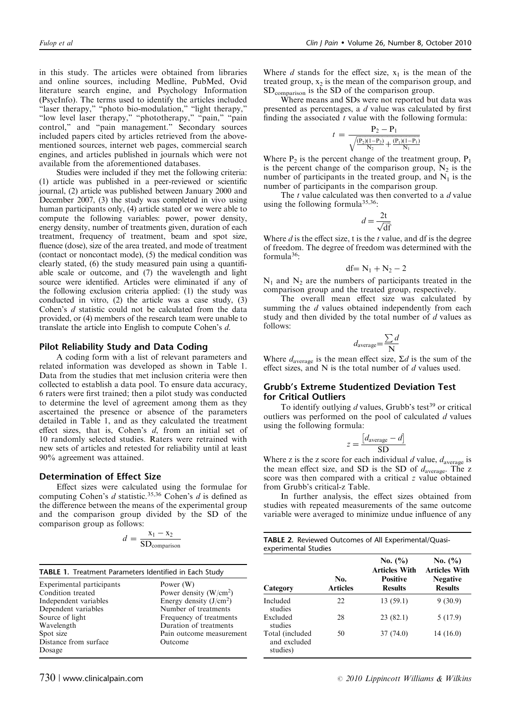in this study. The articles were obtained from libraries and online sources, including Medline, PubMed, Ovid literature search engine, and Psychology Information (PsycInfo). The terms used to identify the articles included "laser therapy," "photo bio-modulation," "light therapy," "low level laser therapy," "phototherapy," "pain," "pain control," and "pain management." Secondary sources included papers cited by articles retrieved from the abovementioned sources, internet web pages, commercial search engines, and articles published in journals which were not available from the aforementioned databases.

Studies were included if they met the following criteria: (1) article was published in a peer-reviewed or scientific journal, (2) article was published between January 2000 and December 2007, (3) the study was completed in vivo using human participants only, (4) article stated or we were able to compute the following variables: power, power density, energy density, number of treatments given, duration of each treatment, frequency of treatment, beam and spot size, fluence (dose), size of the area treated, and mode of treatment (contact or noncontact mode), (5) the medical condition was clearly stated, (6) the study measured pain using a quantifiable scale or outcome, and (7) the wavelength and light source were identified. Articles were eliminated if any of the following exclusion criteria applied: (1) the study was conducted in vitro, (2) the article was a case study, (3) Cohen's d statistic could not be calculated from the data provided, or (4) members of the research team were unable to translate the article into English to compute Cohen's d.

## Pilot Reliability Study and Data Coding

A coding form with a list of relevant parameters and related information was developed as shown in Table 1. Data from the studies that met inclusion criteria were then collected to establish a data pool. To ensure data accuracy, 6 raters were first trained; then a pilot study was conducted to determine the level of agreement among them as they ascertained the presence or absence of the parameters detailed in Table 1, and as they calculated the treatment effect sizes, that is, Cohen's d, from an initial set of 10 randomly selected studies. Raters were retrained with new sets of articles and retested for reliability until at least 90% agreement was attained.

## Determination of Effect Size

Effect sizes were calculated using the formulae for computing Cohen's  $d$  statistic.<sup>35,36</sup> Cohen's  $d$  is defined as the difference between the means of the experimental group and the comparison group divided by the SD of the comparison group as follows:

$$
d = \frac{x_1 - x_2}{SD_{comparison}}
$$

|  | TABLE 1. Treatment Parameters Identified in Each Study |  |  |  |  |
|--|--------------------------------------------------------|--|--|--|--|
|--|--------------------------------------------------------|--|--|--|--|

| Experimental participants | Power (W)                |
|---------------------------|--------------------------|
| Condition treated         | Power density $(W/cm2)$  |
| Independent variables     | Energy density $(J/cm2)$ |
| Dependent variables       | Number of treatments     |
| Source of light           | Frequency of treatments  |
| Wavelength                | Duration of treatments   |
| Spot size                 | Pain outcome measurement |
| Distance from surface     | Outcome                  |
| Dosage                    |                          |

Where d stands for the effect size,  $x_1$  is the mean of the treated group,  $x_2$  is the mean of the comparison group, and SDcomparison is the SD of the comparison group.

Where means and SDs were not reported but data was presented as percentages, a d value was calculated by first finding the associated  $t$  value with the following formula:

$$
t = \frac{P_2 - P_1}{\sqrt{\frac{(P_2)(1 - P_2)}{N_2} + \frac{(P_1)(1 - P_1)}{N_1}}}
$$

Where  $P_2$  is the percent change of the treatment group,  $P_1$ is the percent change of the comparison group,  $N_2$  is the number of participants in the treated group, and  $N_1$  is the number of participants in the comparison group.

The  $t$  value calculated was then converted to a  $d$  value using the following formula<sup>35,36</sup>:

$$
d = \frac{2t}{\sqrt{df}}
$$

Where  $d$  is the effect size, t is the  $t$  value, and df is the degree of freedom. The degree of freedom was determined with the formula $36$ :

$$
df = N_1 + N_2 - 2
$$

 $N_1$  and  $N_2$  are the numbers of participants treated in the comparison group and the treated group, respectively.

The overall mean effect size was calculated by summing the d values obtained independently from each study and then divided by the total number of  $d$  values as follows:

$$
d_{\text{average}} = \frac{\sum d}{N}
$$

Where  $d_{\text{average}}$  is the mean effect size,  $\Sigma d$  is the sum of the effect sizes, and N is the total number of  $d$  values used.

# Grubb's Extreme Studentized Deviation Test for Critical Outliers

To identify outlying  $d$  values, Grubb's test<sup>39</sup> or critical outliers was performed on the pool of calculated  $d$  values using the following formula:

$$
z = \frac{[d_{\text{average}} - d]}{\text{SD}}
$$

Where z is the z score for each individual  $d$  value,  $d_{\text{average}}$  is the mean effect size, and SD is the SD of  $d_{\text{average}}$ . The z score was then compared with a critical z value obtained from Grubb's critical-z Table.

In further analysis, the effect sizes obtained from studies with repeated measurements of the same outcome variable were averaged to minimize undue influence of any

|                      | TABLE 2. Reviewed Outcomes of All Experimental/Quasi- |
|----------------------|-------------------------------------------------------|
| experimental Studies |                                                       |

| Category                                    | No.<br><b>Articles</b> | No. $(\% )$<br><b>Articles With</b><br><b>Positive</b><br><b>Results</b> | No. $(\% )$<br><b>Articles With</b><br><b>Negative</b><br><b>Results</b> |
|---------------------------------------------|------------------------|--------------------------------------------------------------------------|--------------------------------------------------------------------------|
| Included<br>studies                         | 22                     | 13(59.1)                                                                 | 9(30.9)                                                                  |
| Excluded<br>studies                         | 28                     | 23(82.1)                                                                 | 5(17.9)                                                                  |
| Total (included<br>and excluded<br>studies) | 50                     | 37(74.0)                                                                 | 14(16.0)                                                                 |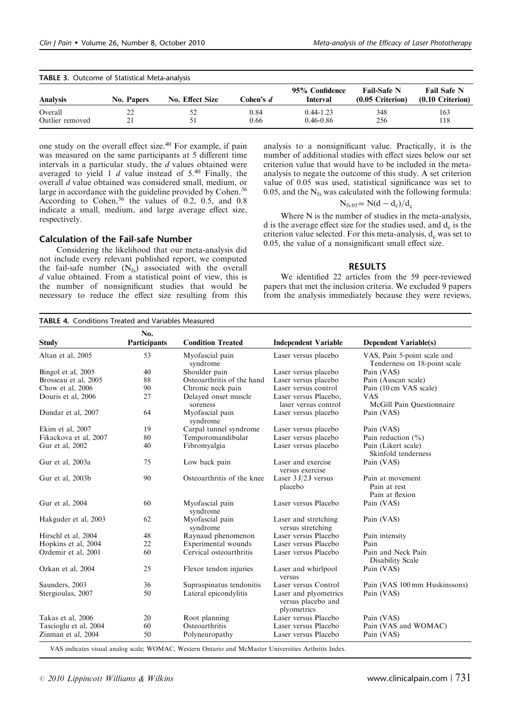| <b>TABLE 3.</b> Outcome of Statistical Meta-analysis |            |                 |           |                            |                                          |                                          |
|------------------------------------------------------|------------|-----------------|-----------|----------------------------|------------------------------------------|------------------------------------------|
| Analysis                                             | No. Papers | No. Effect Size | Cohen's d | 95% Confidence<br>Interval | <b>Fail-Safe N</b><br>$(0.05$ Criterion) | <b>Fail Safe N</b><br>$(0.10$ Criterion) |
| Overall                                              |            | 52              | 0.84      | $0.44 - 1.23$              | 348                                      | 163                                      |
| Outlier removed                                      | 21         | 51              | 0.66      | $0.46 - 0.86$              | 256                                      | 118                                      |

one study on the overall effect size.<sup>40</sup> For example, if pain was measured on the same participants at 5 different time intervals in a particular study, the  $d$  values obtained were averaged to yield 1  $d$  value instead of 5.<sup>40</sup> Finally, the overall d value obtained was considered small, medium, or large in accordance with the guideline provided by Cohen.<sup>36</sup> According to Cohen,  $36$  the values of 0.2, 0.5, and 0.8 indicate a small, medium, and large average effect size, respectively.

## Calculation of the Fail-safe Number

Considering the likelihood that our meta-analysis did not include every relevant published report, we computed the fail-safe number  $(N_{fs})$  associated with the overall  $d$  value obtained. From a statistical point of view, this is the number of nonsignificant studies that would be necessary to reduce the effect size resulting from this

analysis to a nonsignificant value. Practically, it is the number of additional studies with effect sizes below our set criterion value that would have to be included in the metaanalysis to negate the outcome of this study. A set criterion value of 0.05 was used, statistical significance was set to 0.05, and the  $N_f$  was calculated with the following formula:

$$
N_{\rm fs.05}\rm = N(d-d_c)/d_c
$$

Where N is the number of studies in the meta-analysis, d is the average effect size for the studies used, and  $d_c$  is the criterion value selected. For this meta-analysis,  $d_c$  was set to 0.05, the value of a nonsignificant small effect size.

#### RESULTS

We identified 22 articles from the 59 peer-reviewed papers that met the inclusion criteria. We excluded 9 papers from the analysis immediately because they were reviews,

| <b>TABLE 4. Conditions Treated and Variables Measured</b> |                     |                                  |                                                            |                                                             |
|-----------------------------------------------------------|---------------------|----------------------------------|------------------------------------------------------------|-------------------------------------------------------------|
| <b>Study</b>                                              | No.<br>Participants | <b>Condition Treated</b>         | <b>Independent Variable</b>                                | <b>Dependent Variable(s)</b>                                |
| Altan et al. 2005                                         | 53                  | Myofascial pain<br>syndrome      | Laser versus placebo                                       | VAS, Pain 5-point scale and<br>Tenderness on 18-point scale |
| Bingol et al, 2005                                        | 40                  | Shoulder pain                    | Laser versus placebo                                       | Pain (VAS)                                                  |
| Brosseau et al, 2005                                      | 88                  | Osteoarthritis of the hand       | Laser versus placebo                                       | Pain (Auscan scale)                                         |
| Chow et al, 2006                                          | 90                  | Chronic neck pain                | Laser versus control                                       | Pain (10 cm VAS scale)                                      |
| Douris et al, 2006                                        | 27                  | Delayed onset muscle<br>soreness | Laser versus Placebo,<br>laser versus control              | <b>VAS</b><br>McGill Pain Questionnaire                     |
| Dundar et al, 2007                                        | 64                  | Myofascial pain<br>syndrome      | Laser versus placebo                                       | Pain (VAS)                                                  |
| Ekim et al, 2007                                          | 19                  | Carpal tunnel syndrome           | Laser versus placebo                                       | Pain (VAS)                                                  |
| Fikackova et al, 2007                                     | 80                  | Temporomandibular                | Laser versus placebo                                       | Pain reduction $(\% )$                                      |
| Gur et al, 2002                                           | 40                  | Fibromyalgia                     | Laser versus placebo                                       | Pain (Likert scale)<br>Skinfold tenderness                  |
| Gur et al, 2003a                                          | 75                  | Low back pain                    | Laser and exercise<br>versus exercise                      | Pain (VAS)                                                  |
| Gur et al, 2003b                                          | 90                  | Osteoarthritis of the knee       | Laser $3 J/2 J$ versus<br>placebo                          | Pain at movement<br>Pain at rest<br>Pain at flexion         |
| Gur et al. 2004                                           | 60                  | Myofascial pain<br>syndrome      | Laser versus Placebo                                       | Pain (VAS)                                                  |
| Hakguder et al, 2003                                      | 62                  | Myofascial pain<br>syndrome      | Laser and stretching<br>versus stretching                  | Pain (VAS)                                                  |
| Hirschl et al, 2004                                       | 48                  | Raynaud phenomenon               | Laser versus Placebo                                       | Pain intensity                                              |
| Hopkins et al, 2004                                       | 22                  | Experimental wounds              | Laser versus Placebo                                       | Pain                                                        |
| Ozdemir et al, 2001                                       | 60                  | Cervical osteoarthritis          | Laser versus Placebo                                       | Pain and Neck Pain<br>Disability Scale                      |
| Ozkan et al, 2004                                         | 25                  | Flexor tendon injuries           | Laser and whirlpool<br>versus                              | Pain (VAS)                                                  |
| Saunders, 2003                                            | 36                  | Supraspinatus tendonitis         | Laser versus Control                                       | Pain (VAS 100 mm Huskinssons)                               |
| Stergioulas, 2007                                         | 50                  | Lateral epicondylitis            | Laser and plyometrics<br>versus placebo and<br>plyometrics | Pain (VAS)                                                  |
| Takas et al, 2006                                         | 20                  | Root planning                    | Laser versus Placebo                                       | Pain (VAS)                                                  |
| Tascioglu et al, 2004                                     | 60                  | Osteoarthritis                   | Laser versus Placebo                                       | Pain (VAS and WOMAC)                                        |
| Zinman et al, 2004                                        | 50                  | Polyneuropathy                   | Laser versus Placebo                                       | Pain (VAS)                                                  |

VAS indicates visual analog scale; WOMAC, Western Ontario and McMaster Universities Arthritis Index.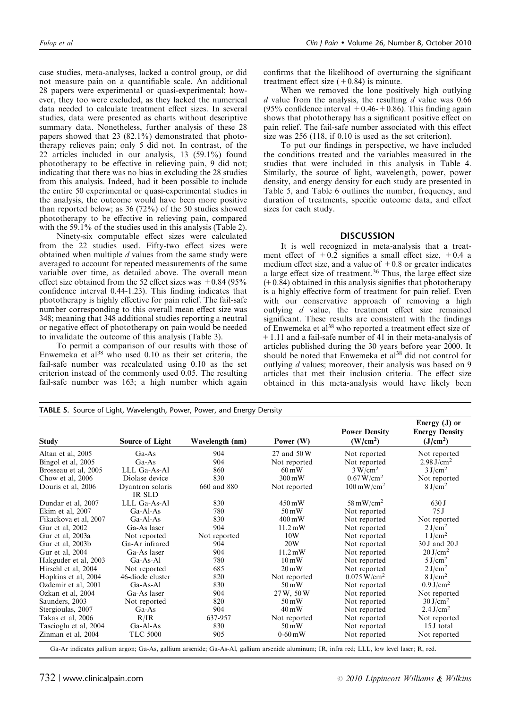case studies, meta-analyses, lacked a control group, or did not measure pain on a quantifiable scale. An additional 28 papers were experimental or quasi-experimental; however, they too were excluded, as they lacked the numerical data needed to calculate treatment effect sizes. In several studies, data were presented as charts without descriptive summary data. Nonetheless, further analysis of these 28 papers showed that 23 (82.1%) demonstrated that phototherapy relieves pain; only 5 did not. In contrast, of the 22 articles included in our analysis, 13 (59.1%) found phototherapy to be effective in relieving pain, 9 did not; indicating that there was no bias in excluding the 28 studies from this analysis. Indeed, had it been possible to include the entire 50 experimental or quasi-experimental studies in the analysis, the outcome would have been more positive than reported below; as 36 (72%) of the 50 studies showed phototherapy to be effective in relieving pain, compared with the 59.1% of the studies used in this analysis (Table 2).

Ninety-six computable effect sizes were calculated from the 22 studies used. Fifty-two effect sizes were obtained when multiple d values from the same study were averaged to account for repeated measurements of the same variable over time, as detailed above. The overall mean effect size obtained from the 52 effect sizes was  $+0.84$  (95%) confidence interval 0.44-1.23). This finding indicates that phototherapy is highly effective for pain relief. The fail-safe number corresponding to this overall mean effect size was 348; meaning that 348 additional studies reporting a neutral or negative effect of phototherapy on pain would be needed to invalidate the outcome of this analysis (Table 3).

To permit a comparison of our results with those of Enwemeka et  $al^{38}$  who used 0.10 as their set criteria, the fail-safe number was recalculated using 0.10 as the set criterion instead of the commonly used 0.05. The resulting fail-safe number was 163; a high number which again

TABLE 5. Source of Light, Wavelength, Power, Power, and Energy Density

confirms that the likelihood of overturning the significant treatment effect size  $(+0.84)$  is minute.

When we removed the lone positively high outlying  $d$  value from the analysis, the resulting  $d$  value was 0.66 (95% confidence interval  $+0.46-+0.86$ ). This finding again shows that phototherapy has a significant positive effect on pain relief. The fail-safe number associated with this effect size was 256 (118, if 0.10 is used as the set criterion).

To put our findings in perspective, we have included the conditions treated and the variables measured in the studies that were included in this analysis in Table 4. Similarly, the source of light, wavelength, power, power density, and energy density for each study are presented in Table 5, and Table 6 outlines the number, frequency, and duration of treatments, specific outcome data, and effect sizes for each study.

#### **DISCUSSION**

It is well recognized in meta-analysis that a treatment effect of  $+0.2$  signifies a small effect size,  $+0.4$  a medium effect size, and a value of  $+0.8$  or greater indicates a large effect size of treatment.<sup>36</sup> Thus, the large effect size  $(+0.84)$  obtained in this analysis signifies that phototherapy is a highly effective form of treatment for pain relief. Even with our conservative approach of removing a high outlying d value, the treatment effect size remained significant. These results are consistent with the findings of Enwemeka et al<sup>38</sup> who reported a treatment effect size of +1.11 and a fail-safe number of 41 in their meta-analysis of articles published during the 30 years before year 2000. It should be noted that Enwemeka et al<sup>38</sup> did not control for outlying *d* values; moreover, their analysis was based on 9 articles that met their inclusion criteria. The effect size obtained in this meta-analysis would have likely been

| <b>Study</b>          | Source of Light  | Wavelength (nm) | Power (W)           | <b>Power Density</b><br>(W/cm <sup>2</sup> ) | Energy $(J)$ or<br><b>Energy Density</b><br>(J/cm <sup>2</sup> ) |
|-----------------------|------------------|-----------------|---------------------|----------------------------------------------|------------------------------------------------------------------|
| Altan et al. 2005     | $Ga-As$          | 904             | 27 and 50 W         | Not reported                                 | Not reported                                                     |
| Bingol et al, 2005    | $Ga-As$          | 904             | Not reported        | Not reported                                 | 2.98 J/cm <sup>2</sup>                                           |
| Brosseau et al. 2005  | LLL Ga-As-Al     | 860             | $60 \,\mathrm{mW}$  | 3 W/cm <sup>2</sup>                          | 3 J/cm <sup>2</sup>                                              |
| Chow et al. 2006      | Diolase device   | 830             | $300 \,\mathrm{mW}$ | 0.67 W/cm <sup>2</sup>                       | Not reported                                                     |
| Douris et al, 2006    | Dyantron solaris | 660 and 880     | Not reported        | $100 \,\mathrm{mW/cm^2}$                     | 8 J/cm <sup>2</sup>                                              |
|                       | <b>IR SLD</b>    |                 |                     |                                              |                                                                  |
| Dundar et al. 2007    | LLL Ga-As-Al     | 830             | $450 \,\mathrm{mW}$ | $58 \text{ mW/cm}^2$                         | 630 J                                                            |
| Ekim et al, 2007      | $Ga-Al-As$       | 780             | $50 \,\mathrm{mW}$  | Not reported                                 | 75J                                                              |
| Fikackova et al, 2007 | $Ga-Al-As$       | 830             | $400 \,\mathrm{mW}$ | Not reported                                 | Not reported                                                     |
| Gur et al, 2002       | Ga-As laser      | 904             | $11.2 \text{ mW}$   | Not reported                                 | 2 J/cm <sup>2</sup>                                              |
| Gur et al, 2003a      | Not reported     | Not reported    | 10W                 | Not reported                                 | 1 J/cm <sup>2</sup>                                              |
| Gur et al. 2003b      | Ga-Ar infrared   | 904             | 20W                 | Not reported                                 | 30 J and 20 J                                                    |
| Gur et al. 2004       | Ga-As laser      | 904             | $11.2 \text{ mW}$   | Not reported                                 | 20 J/cm <sup>2</sup>                                             |
| Hakguder et al, 2003  | $Ga-As-Al$       | 780             | $10 \,\mathrm{mW}$  | Not reported                                 | $5 \text{ J/cm}^2$                                               |
| Hirschl et al. 2004   | Not reported     | 685             | $20 \,\mathrm{mW}$  | Not reported                                 | 2 J/cm <sup>2</sup>                                              |
| Hopkins et al, 2004   | 46-diode cluster | 820             | Not reported        | $0.075 W/cm^2$                               | 8 J/cm <sup>2</sup>                                              |
| Ozdemir et al, 2001   | $Ga-As-Al$       | 830             | $50 \,\mathrm{mW}$  | Not reported                                 | 0.9 J/cm <sup>2</sup>                                            |
| Ozkan et al, 2004     | Ga-As laser      | 904             | 27 W, 50 W          | Not reported                                 | Not reported                                                     |
| Saunders, 2003        | Not reported     | 820             | $50 \,\mathrm{mW}$  | Not reported                                 | 30 J/cm <sup>2</sup>                                             |
| Stergioulas, 2007     | $Ga-As$          | 904             | $40 \,\mathrm{mW}$  | Not reported                                 | $2.4$ J/cm <sup>2</sup>                                          |
| Takas et al, 2006     | R/IR             | 637-957         | Not reported        | Not reported                                 | Not reported                                                     |
| Tascioglu et al, 2004 | $Ga-Al-As$       | 830             | $50 \,\mathrm{mW}$  | Not reported                                 | 15 I total                                                       |
| Zinman et al. 2004    | <b>TLC 5000</b>  | 905             | $0-60$ mW           | Not reported                                 | Not reported                                                     |

Ga-Ar indicates gallium argon; Ga-As, gallium arsenide; Ga-As-Al, gallium arsenide aluminum; IR, infra red; LLL, low level laser; R, red.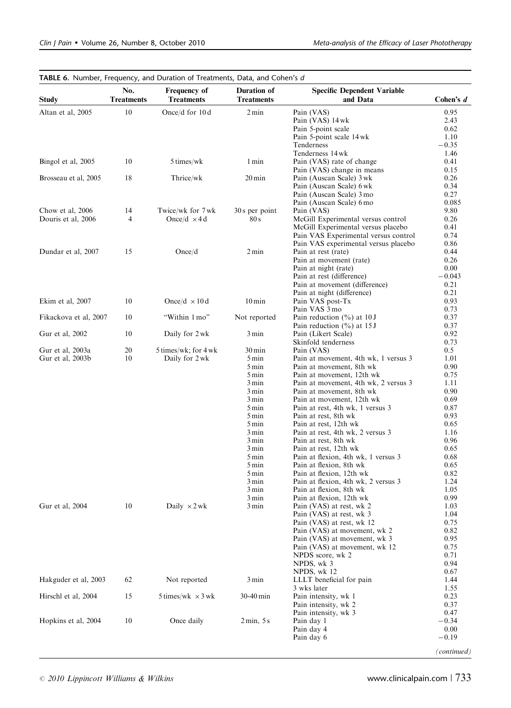| <b>Treatments</b><br><b>Treatments</b><br><b>Study</b><br><b>Treatments</b><br>and Data<br>10<br>0.95<br>Altan et al, 2005<br>Once/d for $10d$<br>$2 \text{ min}$<br>Pain (VAS)<br>2.43<br>Pain (VAS) 14 wk<br>0.62<br>Pain 5-point scale<br>1.10<br>Pain 5-point scale 14 wk<br>$-0.35$<br>Tenderness<br>Tenderness 14 wk<br>1.46<br>Bingol et al, 2005<br>10<br>5 times/wk<br>1 min<br>0.41<br>Pain (VAS) rate of change<br>0.15<br>Pain (VAS) change in means<br>18<br>Thrice/wk<br>$20 \,\mathrm{min}$<br>Pain (Auscan Scale) 3 wk<br>0.26<br>Brosseau et al, 2005<br>Pain (Auscan Scale) 6 wk<br>0.34<br>0.27<br>Pain (Auscan Scale) 3 mo<br>0.085<br>Pain (Auscan Scale) 6 mo<br>Chow et al, 2006<br>14<br>Twice/wk for 7 wk<br>30 s per point<br>9.80<br>Pain (VAS)<br>4<br>McGill Experimental versus control<br>0.26<br>Douris et al, 2006<br>Once/d $\times$ 4 d<br>80 s<br>McGill Experimental versus placebo<br>0.41<br>Pain VAS Experimental versus control<br>0.74<br>Pain VAS experimental versus placebo<br>0.86<br>Dundar et al, 2007<br>15<br>Once/d<br>$2 \text{ min}$<br>0.44<br>Pain at rest (rate)<br>0.26<br>Pain at movement (rate)<br>0.00<br>Pain at night (rate)<br>Pain at rest (difference)<br>$-0.043$<br>0.21<br>Pain at movement (difference)<br>0.21<br>Pain at night (difference)<br>10<br>Once/d $\times$ 10 d<br>$10 \,\mathrm{min}$<br>0.93<br>Pain VAS post-Tx<br>Pain VAS 3 mo<br>0.73<br>Fikackova et al, 2007<br>10<br>"Within 1 mo"<br>Not reported<br>Pain reduction $(\% )$ at 10 J<br>0.37<br>0.37<br>Pain reduction $(\% )$ at 15 J<br>0.92<br>Gur et al, 2002<br>10<br>Daily for 2 wk<br>3 min<br>Pain (Likert Scale)<br>0.73<br>Skinfold tenderness<br>20<br>Gur et al, 2003a<br>$5 \times$ times/wk; for $4$ wk<br>$30 \,\mathrm{min}$<br>0.5<br>Pain (VAS)<br>10<br>Gur et al, 2003b<br>Pain at movement, 4th wk, 1 versus 3<br>1.01<br>Daily for 2 wk<br>5 min<br>5 min<br>0.90<br>Pain at movement, 8th wk<br>5 min<br>0.75<br>Pain at movement, 12th wk<br>1.11<br>3 min<br>Pain at movement, 4th wk, 2 versus 3<br>0.90<br>3 min<br>Pain at movement, 8th wk<br>3 min<br>0.69<br>Pain at movement, 12th wk<br>0.87<br>5 min<br>Pain at rest, 4th wk, 1 versus 3<br>5 min<br>0.93<br>Pain at rest, 8th wk<br>5 min<br>0.65<br>Pain at rest, 12th wk<br>1.16<br>3 min<br>Pain at rest, 4th wk, 2 versus 3<br>0.96<br>3 min<br>Pain at rest, 8th wk<br>3 min<br>0.65<br>Pain at rest, 12th wk<br>0.68<br>5 min<br>Pain at flexion, 4th wk, 1 versus 3<br>5 min<br>0.65<br>Pain at flexion, 8th wk<br>0.82<br>5 min<br>Pain at flexion, 12th wk<br>1.24<br>Pain at flexion, 4th wk, 2 versus 3<br>3 min<br>Pain at flexion, 8th wk<br>3 min<br>1.05<br>0.99<br>3 min<br>Pain at flexion, 12th wk<br>10<br>1.03<br>Gur et al, 2004<br>Daily $\times$ 2 wk<br>3 min<br>Pain (VAS) at rest, wk 2<br>1.04<br>Pain (VAS) at rest, wk 3<br>0.75<br>Pain (VAS) at rest, wk 12<br>0.82<br>Pain (VAS) at movement, wk 2<br>0.95<br>Pain (VAS) at movement, wk 3<br>Pain (VAS) at movement, wk 12<br>0.75<br>0.71<br>NPDS score, wk 2<br>0.94<br>NPDS, wk 3<br>0.67<br>NPDS, wk 12<br>Hakguder et al, 2003<br>Not reported<br>62<br>3 min<br>LLLT beneficial for pain<br>1.44<br>1.55<br>3 wks later<br>Hirschl et al, 2004<br>15<br>30-40 min<br>0.23<br>5 times/wk $\times$ 3 wk<br>Pain intensity, wk 1<br>0.37<br>Pain intensity, wk 2<br>0.47<br>Pain intensity, wk 3<br>10<br>Once daily<br>$-0.34$<br>Hopkins et al, 2004<br>$2 \text{ min}, 5 \text{ s}$<br>Pain day 1<br>Pain day 4<br>0.00<br>$-0.19$<br>Pain day 6<br>(continued) |                  | No. | TABLE 6. Number, Frequency, and Duration of Treatments, Data, and Cohen's d<br>Frequency of | Duration of | <b>Specific Dependent Variable</b> |             |
|--------------------------------------------------------------------------------------------------------------------------------------------------------------------------------------------------------------------------------------------------------------------------------------------------------------------------------------------------------------------------------------------------------------------------------------------------------------------------------------------------------------------------------------------------------------------------------------------------------------------------------------------------------------------------------------------------------------------------------------------------------------------------------------------------------------------------------------------------------------------------------------------------------------------------------------------------------------------------------------------------------------------------------------------------------------------------------------------------------------------------------------------------------------------------------------------------------------------------------------------------------------------------------------------------------------------------------------------------------------------------------------------------------------------------------------------------------------------------------------------------------------------------------------------------------------------------------------------------------------------------------------------------------------------------------------------------------------------------------------------------------------------------------------------------------------------------------------------------------------------------------------------------------------------------------------------------------------------------------------------------------------------------------------------------------------------------------------------------------------------------------------------------------------------------------------------------------------------------------------------------------------------------------------------------------------------------------------------------------------------------------------------------------------------------------------------------------------------------------------------------------------------------------------------------------------------------------------------------------------------------------------------------------------------------------------------------------------------------------------------------------------------------------------------------------------------------------------------------------------------------------------------------------------------------------------------------------------------------------------------------------------------------------------------------------------------------------------------------------------------------------------------------------------------------------------------------------------------------------------------------------------------------------------------------------------------------------------------------------------------------------------------------------------------------------------------------------------------------------------------------------------------------------------------------------------------------------------|------------------|-----|---------------------------------------------------------------------------------------------|-------------|------------------------------------|-------------|
|                                                                                                                                                                                                                                                                                                                                                                                                                                                                                                                                                                                                                                                                                                                                                                                                                                                                                                                                                                                                                                                                                                                                                                                                                                                                                                                                                                                                                                                                                                                                                                                                                                                                                                                                                                                                                                                                                                                                                                                                                                                                                                                                                                                                                                                                                                                                                                                                                                                                                                                                                                                                                                                                                                                                                                                                                                                                                                                                                                                                                                                                                                                                                                                                                                                                                                                                                                                                                                                                                                                                                                                      |                  |     |                                                                                             |             |                                    | Cohen's $d$ |
|                                                                                                                                                                                                                                                                                                                                                                                                                                                                                                                                                                                                                                                                                                                                                                                                                                                                                                                                                                                                                                                                                                                                                                                                                                                                                                                                                                                                                                                                                                                                                                                                                                                                                                                                                                                                                                                                                                                                                                                                                                                                                                                                                                                                                                                                                                                                                                                                                                                                                                                                                                                                                                                                                                                                                                                                                                                                                                                                                                                                                                                                                                                                                                                                                                                                                                                                                                                                                                                                                                                                                                                      |                  |     |                                                                                             |             |                                    |             |
|                                                                                                                                                                                                                                                                                                                                                                                                                                                                                                                                                                                                                                                                                                                                                                                                                                                                                                                                                                                                                                                                                                                                                                                                                                                                                                                                                                                                                                                                                                                                                                                                                                                                                                                                                                                                                                                                                                                                                                                                                                                                                                                                                                                                                                                                                                                                                                                                                                                                                                                                                                                                                                                                                                                                                                                                                                                                                                                                                                                                                                                                                                                                                                                                                                                                                                                                                                                                                                                                                                                                                                                      |                  |     |                                                                                             |             |                                    |             |
|                                                                                                                                                                                                                                                                                                                                                                                                                                                                                                                                                                                                                                                                                                                                                                                                                                                                                                                                                                                                                                                                                                                                                                                                                                                                                                                                                                                                                                                                                                                                                                                                                                                                                                                                                                                                                                                                                                                                                                                                                                                                                                                                                                                                                                                                                                                                                                                                                                                                                                                                                                                                                                                                                                                                                                                                                                                                                                                                                                                                                                                                                                                                                                                                                                                                                                                                                                                                                                                                                                                                                                                      |                  |     |                                                                                             |             |                                    |             |
|                                                                                                                                                                                                                                                                                                                                                                                                                                                                                                                                                                                                                                                                                                                                                                                                                                                                                                                                                                                                                                                                                                                                                                                                                                                                                                                                                                                                                                                                                                                                                                                                                                                                                                                                                                                                                                                                                                                                                                                                                                                                                                                                                                                                                                                                                                                                                                                                                                                                                                                                                                                                                                                                                                                                                                                                                                                                                                                                                                                                                                                                                                                                                                                                                                                                                                                                                                                                                                                                                                                                                                                      |                  |     |                                                                                             |             |                                    |             |
|                                                                                                                                                                                                                                                                                                                                                                                                                                                                                                                                                                                                                                                                                                                                                                                                                                                                                                                                                                                                                                                                                                                                                                                                                                                                                                                                                                                                                                                                                                                                                                                                                                                                                                                                                                                                                                                                                                                                                                                                                                                                                                                                                                                                                                                                                                                                                                                                                                                                                                                                                                                                                                                                                                                                                                                                                                                                                                                                                                                                                                                                                                                                                                                                                                                                                                                                                                                                                                                                                                                                                                                      |                  |     |                                                                                             |             |                                    |             |
|                                                                                                                                                                                                                                                                                                                                                                                                                                                                                                                                                                                                                                                                                                                                                                                                                                                                                                                                                                                                                                                                                                                                                                                                                                                                                                                                                                                                                                                                                                                                                                                                                                                                                                                                                                                                                                                                                                                                                                                                                                                                                                                                                                                                                                                                                                                                                                                                                                                                                                                                                                                                                                                                                                                                                                                                                                                                                                                                                                                                                                                                                                                                                                                                                                                                                                                                                                                                                                                                                                                                                                                      |                  |     |                                                                                             |             |                                    |             |
|                                                                                                                                                                                                                                                                                                                                                                                                                                                                                                                                                                                                                                                                                                                                                                                                                                                                                                                                                                                                                                                                                                                                                                                                                                                                                                                                                                                                                                                                                                                                                                                                                                                                                                                                                                                                                                                                                                                                                                                                                                                                                                                                                                                                                                                                                                                                                                                                                                                                                                                                                                                                                                                                                                                                                                                                                                                                                                                                                                                                                                                                                                                                                                                                                                                                                                                                                                                                                                                                                                                                                                                      |                  |     |                                                                                             |             |                                    |             |
|                                                                                                                                                                                                                                                                                                                                                                                                                                                                                                                                                                                                                                                                                                                                                                                                                                                                                                                                                                                                                                                                                                                                                                                                                                                                                                                                                                                                                                                                                                                                                                                                                                                                                                                                                                                                                                                                                                                                                                                                                                                                                                                                                                                                                                                                                                                                                                                                                                                                                                                                                                                                                                                                                                                                                                                                                                                                                                                                                                                                                                                                                                                                                                                                                                                                                                                                                                                                                                                                                                                                                                                      |                  |     |                                                                                             |             |                                    |             |
|                                                                                                                                                                                                                                                                                                                                                                                                                                                                                                                                                                                                                                                                                                                                                                                                                                                                                                                                                                                                                                                                                                                                                                                                                                                                                                                                                                                                                                                                                                                                                                                                                                                                                                                                                                                                                                                                                                                                                                                                                                                                                                                                                                                                                                                                                                                                                                                                                                                                                                                                                                                                                                                                                                                                                                                                                                                                                                                                                                                                                                                                                                                                                                                                                                                                                                                                                                                                                                                                                                                                                                                      |                  |     |                                                                                             |             |                                    |             |
|                                                                                                                                                                                                                                                                                                                                                                                                                                                                                                                                                                                                                                                                                                                                                                                                                                                                                                                                                                                                                                                                                                                                                                                                                                                                                                                                                                                                                                                                                                                                                                                                                                                                                                                                                                                                                                                                                                                                                                                                                                                                                                                                                                                                                                                                                                                                                                                                                                                                                                                                                                                                                                                                                                                                                                                                                                                                                                                                                                                                                                                                                                                                                                                                                                                                                                                                                                                                                                                                                                                                                                                      |                  |     |                                                                                             |             |                                    |             |
|                                                                                                                                                                                                                                                                                                                                                                                                                                                                                                                                                                                                                                                                                                                                                                                                                                                                                                                                                                                                                                                                                                                                                                                                                                                                                                                                                                                                                                                                                                                                                                                                                                                                                                                                                                                                                                                                                                                                                                                                                                                                                                                                                                                                                                                                                                                                                                                                                                                                                                                                                                                                                                                                                                                                                                                                                                                                                                                                                                                                                                                                                                                                                                                                                                                                                                                                                                                                                                                                                                                                                                                      |                  |     |                                                                                             |             |                                    |             |
|                                                                                                                                                                                                                                                                                                                                                                                                                                                                                                                                                                                                                                                                                                                                                                                                                                                                                                                                                                                                                                                                                                                                                                                                                                                                                                                                                                                                                                                                                                                                                                                                                                                                                                                                                                                                                                                                                                                                                                                                                                                                                                                                                                                                                                                                                                                                                                                                                                                                                                                                                                                                                                                                                                                                                                                                                                                                                                                                                                                                                                                                                                                                                                                                                                                                                                                                                                                                                                                                                                                                                                                      |                  |     |                                                                                             |             |                                    |             |
|                                                                                                                                                                                                                                                                                                                                                                                                                                                                                                                                                                                                                                                                                                                                                                                                                                                                                                                                                                                                                                                                                                                                                                                                                                                                                                                                                                                                                                                                                                                                                                                                                                                                                                                                                                                                                                                                                                                                                                                                                                                                                                                                                                                                                                                                                                                                                                                                                                                                                                                                                                                                                                                                                                                                                                                                                                                                                                                                                                                                                                                                                                                                                                                                                                                                                                                                                                                                                                                                                                                                                                                      |                  |     |                                                                                             |             |                                    |             |
|                                                                                                                                                                                                                                                                                                                                                                                                                                                                                                                                                                                                                                                                                                                                                                                                                                                                                                                                                                                                                                                                                                                                                                                                                                                                                                                                                                                                                                                                                                                                                                                                                                                                                                                                                                                                                                                                                                                                                                                                                                                                                                                                                                                                                                                                                                                                                                                                                                                                                                                                                                                                                                                                                                                                                                                                                                                                                                                                                                                                                                                                                                                                                                                                                                                                                                                                                                                                                                                                                                                                                                                      |                  |     |                                                                                             |             |                                    |             |
|                                                                                                                                                                                                                                                                                                                                                                                                                                                                                                                                                                                                                                                                                                                                                                                                                                                                                                                                                                                                                                                                                                                                                                                                                                                                                                                                                                                                                                                                                                                                                                                                                                                                                                                                                                                                                                                                                                                                                                                                                                                                                                                                                                                                                                                                                                                                                                                                                                                                                                                                                                                                                                                                                                                                                                                                                                                                                                                                                                                                                                                                                                                                                                                                                                                                                                                                                                                                                                                                                                                                                                                      |                  |     |                                                                                             |             |                                    |             |
|                                                                                                                                                                                                                                                                                                                                                                                                                                                                                                                                                                                                                                                                                                                                                                                                                                                                                                                                                                                                                                                                                                                                                                                                                                                                                                                                                                                                                                                                                                                                                                                                                                                                                                                                                                                                                                                                                                                                                                                                                                                                                                                                                                                                                                                                                                                                                                                                                                                                                                                                                                                                                                                                                                                                                                                                                                                                                                                                                                                                                                                                                                                                                                                                                                                                                                                                                                                                                                                                                                                                                                                      |                  |     |                                                                                             |             |                                    |             |
|                                                                                                                                                                                                                                                                                                                                                                                                                                                                                                                                                                                                                                                                                                                                                                                                                                                                                                                                                                                                                                                                                                                                                                                                                                                                                                                                                                                                                                                                                                                                                                                                                                                                                                                                                                                                                                                                                                                                                                                                                                                                                                                                                                                                                                                                                                                                                                                                                                                                                                                                                                                                                                                                                                                                                                                                                                                                                                                                                                                                                                                                                                                                                                                                                                                                                                                                                                                                                                                                                                                                                                                      |                  |     |                                                                                             |             |                                    |             |
|                                                                                                                                                                                                                                                                                                                                                                                                                                                                                                                                                                                                                                                                                                                                                                                                                                                                                                                                                                                                                                                                                                                                                                                                                                                                                                                                                                                                                                                                                                                                                                                                                                                                                                                                                                                                                                                                                                                                                                                                                                                                                                                                                                                                                                                                                                                                                                                                                                                                                                                                                                                                                                                                                                                                                                                                                                                                                                                                                                                                                                                                                                                                                                                                                                                                                                                                                                                                                                                                                                                                                                                      |                  |     |                                                                                             |             |                                    |             |
|                                                                                                                                                                                                                                                                                                                                                                                                                                                                                                                                                                                                                                                                                                                                                                                                                                                                                                                                                                                                                                                                                                                                                                                                                                                                                                                                                                                                                                                                                                                                                                                                                                                                                                                                                                                                                                                                                                                                                                                                                                                                                                                                                                                                                                                                                                                                                                                                                                                                                                                                                                                                                                                                                                                                                                                                                                                                                                                                                                                                                                                                                                                                                                                                                                                                                                                                                                                                                                                                                                                                                                                      |                  |     |                                                                                             |             |                                    |             |
|                                                                                                                                                                                                                                                                                                                                                                                                                                                                                                                                                                                                                                                                                                                                                                                                                                                                                                                                                                                                                                                                                                                                                                                                                                                                                                                                                                                                                                                                                                                                                                                                                                                                                                                                                                                                                                                                                                                                                                                                                                                                                                                                                                                                                                                                                                                                                                                                                                                                                                                                                                                                                                                                                                                                                                                                                                                                                                                                                                                                                                                                                                                                                                                                                                                                                                                                                                                                                                                                                                                                                                                      |                  |     |                                                                                             |             |                                    |             |
|                                                                                                                                                                                                                                                                                                                                                                                                                                                                                                                                                                                                                                                                                                                                                                                                                                                                                                                                                                                                                                                                                                                                                                                                                                                                                                                                                                                                                                                                                                                                                                                                                                                                                                                                                                                                                                                                                                                                                                                                                                                                                                                                                                                                                                                                                                                                                                                                                                                                                                                                                                                                                                                                                                                                                                                                                                                                                                                                                                                                                                                                                                                                                                                                                                                                                                                                                                                                                                                                                                                                                                                      |                  |     |                                                                                             |             |                                    |             |
|                                                                                                                                                                                                                                                                                                                                                                                                                                                                                                                                                                                                                                                                                                                                                                                                                                                                                                                                                                                                                                                                                                                                                                                                                                                                                                                                                                                                                                                                                                                                                                                                                                                                                                                                                                                                                                                                                                                                                                                                                                                                                                                                                                                                                                                                                                                                                                                                                                                                                                                                                                                                                                                                                                                                                                                                                                                                                                                                                                                                                                                                                                                                                                                                                                                                                                                                                                                                                                                                                                                                                                                      |                  |     |                                                                                             |             |                                    |             |
|                                                                                                                                                                                                                                                                                                                                                                                                                                                                                                                                                                                                                                                                                                                                                                                                                                                                                                                                                                                                                                                                                                                                                                                                                                                                                                                                                                                                                                                                                                                                                                                                                                                                                                                                                                                                                                                                                                                                                                                                                                                                                                                                                                                                                                                                                                                                                                                                                                                                                                                                                                                                                                                                                                                                                                                                                                                                                                                                                                                                                                                                                                                                                                                                                                                                                                                                                                                                                                                                                                                                                                                      | Ekim et al, 2007 |     |                                                                                             |             |                                    |             |
|                                                                                                                                                                                                                                                                                                                                                                                                                                                                                                                                                                                                                                                                                                                                                                                                                                                                                                                                                                                                                                                                                                                                                                                                                                                                                                                                                                                                                                                                                                                                                                                                                                                                                                                                                                                                                                                                                                                                                                                                                                                                                                                                                                                                                                                                                                                                                                                                                                                                                                                                                                                                                                                                                                                                                                                                                                                                                                                                                                                                                                                                                                                                                                                                                                                                                                                                                                                                                                                                                                                                                                                      |                  |     |                                                                                             |             |                                    |             |
|                                                                                                                                                                                                                                                                                                                                                                                                                                                                                                                                                                                                                                                                                                                                                                                                                                                                                                                                                                                                                                                                                                                                                                                                                                                                                                                                                                                                                                                                                                                                                                                                                                                                                                                                                                                                                                                                                                                                                                                                                                                                                                                                                                                                                                                                                                                                                                                                                                                                                                                                                                                                                                                                                                                                                                                                                                                                                                                                                                                                                                                                                                                                                                                                                                                                                                                                                                                                                                                                                                                                                                                      |                  |     |                                                                                             |             |                                    |             |
|                                                                                                                                                                                                                                                                                                                                                                                                                                                                                                                                                                                                                                                                                                                                                                                                                                                                                                                                                                                                                                                                                                                                                                                                                                                                                                                                                                                                                                                                                                                                                                                                                                                                                                                                                                                                                                                                                                                                                                                                                                                                                                                                                                                                                                                                                                                                                                                                                                                                                                                                                                                                                                                                                                                                                                                                                                                                                                                                                                                                                                                                                                                                                                                                                                                                                                                                                                                                                                                                                                                                                                                      |                  |     |                                                                                             |             |                                    |             |
|                                                                                                                                                                                                                                                                                                                                                                                                                                                                                                                                                                                                                                                                                                                                                                                                                                                                                                                                                                                                                                                                                                                                                                                                                                                                                                                                                                                                                                                                                                                                                                                                                                                                                                                                                                                                                                                                                                                                                                                                                                                                                                                                                                                                                                                                                                                                                                                                                                                                                                                                                                                                                                                                                                                                                                                                                                                                                                                                                                                                                                                                                                                                                                                                                                                                                                                                                                                                                                                                                                                                                                                      |                  |     |                                                                                             |             |                                    |             |
|                                                                                                                                                                                                                                                                                                                                                                                                                                                                                                                                                                                                                                                                                                                                                                                                                                                                                                                                                                                                                                                                                                                                                                                                                                                                                                                                                                                                                                                                                                                                                                                                                                                                                                                                                                                                                                                                                                                                                                                                                                                                                                                                                                                                                                                                                                                                                                                                                                                                                                                                                                                                                                                                                                                                                                                                                                                                                                                                                                                                                                                                                                                                                                                                                                                                                                                                                                                                                                                                                                                                                                                      |                  |     |                                                                                             |             |                                    |             |
|                                                                                                                                                                                                                                                                                                                                                                                                                                                                                                                                                                                                                                                                                                                                                                                                                                                                                                                                                                                                                                                                                                                                                                                                                                                                                                                                                                                                                                                                                                                                                                                                                                                                                                                                                                                                                                                                                                                                                                                                                                                                                                                                                                                                                                                                                                                                                                                                                                                                                                                                                                                                                                                                                                                                                                                                                                                                                                                                                                                                                                                                                                                                                                                                                                                                                                                                                                                                                                                                                                                                                                                      |                  |     |                                                                                             |             |                                    |             |
|                                                                                                                                                                                                                                                                                                                                                                                                                                                                                                                                                                                                                                                                                                                                                                                                                                                                                                                                                                                                                                                                                                                                                                                                                                                                                                                                                                                                                                                                                                                                                                                                                                                                                                                                                                                                                                                                                                                                                                                                                                                                                                                                                                                                                                                                                                                                                                                                                                                                                                                                                                                                                                                                                                                                                                                                                                                                                                                                                                                                                                                                                                                                                                                                                                                                                                                                                                                                                                                                                                                                                                                      |                  |     |                                                                                             |             |                                    |             |
|                                                                                                                                                                                                                                                                                                                                                                                                                                                                                                                                                                                                                                                                                                                                                                                                                                                                                                                                                                                                                                                                                                                                                                                                                                                                                                                                                                                                                                                                                                                                                                                                                                                                                                                                                                                                                                                                                                                                                                                                                                                                                                                                                                                                                                                                                                                                                                                                                                                                                                                                                                                                                                                                                                                                                                                                                                                                                                                                                                                                                                                                                                                                                                                                                                                                                                                                                                                                                                                                                                                                                                                      |                  |     |                                                                                             |             |                                    |             |
|                                                                                                                                                                                                                                                                                                                                                                                                                                                                                                                                                                                                                                                                                                                                                                                                                                                                                                                                                                                                                                                                                                                                                                                                                                                                                                                                                                                                                                                                                                                                                                                                                                                                                                                                                                                                                                                                                                                                                                                                                                                                                                                                                                                                                                                                                                                                                                                                                                                                                                                                                                                                                                                                                                                                                                                                                                                                                                                                                                                                                                                                                                                                                                                                                                                                                                                                                                                                                                                                                                                                                                                      |                  |     |                                                                                             |             |                                    |             |
|                                                                                                                                                                                                                                                                                                                                                                                                                                                                                                                                                                                                                                                                                                                                                                                                                                                                                                                                                                                                                                                                                                                                                                                                                                                                                                                                                                                                                                                                                                                                                                                                                                                                                                                                                                                                                                                                                                                                                                                                                                                                                                                                                                                                                                                                                                                                                                                                                                                                                                                                                                                                                                                                                                                                                                                                                                                                                                                                                                                                                                                                                                                                                                                                                                                                                                                                                                                                                                                                                                                                                                                      |                  |     |                                                                                             |             |                                    |             |
|                                                                                                                                                                                                                                                                                                                                                                                                                                                                                                                                                                                                                                                                                                                                                                                                                                                                                                                                                                                                                                                                                                                                                                                                                                                                                                                                                                                                                                                                                                                                                                                                                                                                                                                                                                                                                                                                                                                                                                                                                                                                                                                                                                                                                                                                                                                                                                                                                                                                                                                                                                                                                                                                                                                                                                                                                                                                                                                                                                                                                                                                                                                                                                                                                                                                                                                                                                                                                                                                                                                                                                                      |                  |     |                                                                                             |             |                                    |             |
|                                                                                                                                                                                                                                                                                                                                                                                                                                                                                                                                                                                                                                                                                                                                                                                                                                                                                                                                                                                                                                                                                                                                                                                                                                                                                                                                                                                                                                                                                                                                                                                                                                                                                                                                                                                                                                                                                                                                                                                                                                                                                                                                                                                                                                                                                                                                                                                                                                                                                                                                                                                                                                                                                                                                                                                                                                                                                                                                                                                                                                                                                                                                                                                                                                                                                                                                                                                                                                                                                                                                                                                      |                  |     |                                                                                             |             |                                    |             |
|                                                                                                                                                                                                                                                                                                                                                                                                                                                                                                                                                                                                                                                                                                                                                                                                                                                                                                                                                                                                                                                                                                                                                                                                                                                                                                                                                                                                                                                                                                                                                                                                                                                                                                                                                                                                                                                                                                                                                                                                                                                                                                                                                                                                                                                                                                                                                                                                                                                                                                                                                                                                                                                                                                                                                                                                                                                                                                                                                                                                                                                                                                                                                                                                                                                                                                                                                                                                                                                                                                                                                                                      |                  |     |                                                                                             |             |                                    |             |
|                                                                                                                                                                                                                                                                                                                                                                                                                                                                                                                                                                                                                                                                                                                                                                                                                                                                                                                                                                                                                                                                                                                                                                                                                                                                                                                                                                                                                                                                                                                                                                                                                                                                                                                                                                                                                                                                                                                                                                                                                                                                                                                                                                                                                                                                                                                                                                                                                                                                                                                                                                                                                                                                                                                                                                                                                                                                                                                                                                                                                                                                                                                                                                                                                                                                                                                                                                                                                                                                                                                                                                                      |                  |     |                                                                                             |             |                                    |             |
|                                                                                                                                                                                                                                                                                                                                                                                                                                                                                                                                                                                                                                                                                                                                                                                                                                                                                                                                                                                                                                                                                                                                                                                                                                                                                                                                                                                                                                                                                                                                                                                                                                                                                                                                                                                                                                                                                                                                                                                                                                                                                                                                                                                                                                                                                                                                                                                                                                                                                                                                                                                                                                                                                                                                                                                                                                                                                                                                                                                                                                                                                                                                                                                                                                                                                                                                                                                                                                                                                                                                                                                      |                  |     |                                                                                             |             |                                    |             |
|                                                                                                                                                                                                                                                                                                                                                                                                                                                                                                                                                                                                                                                                                                                                                                                                                                                                                                                                                                                                                                                                                                                                                                                                                                                                                                                                                                                                                                                                                                                                                                                                                                                                                                                                                                                                                                                                                                                                                                                                                                                                                                                                                                                                                                                                                                                                                                                                                                                                                                                                                                                                                                                                                                                                                                                                                                                                                                                                                                                                                                                                                                                                                                                                                                                                                                                                                                                                                                                                                                                                                                                      |                  |     |                                                                                             |             |                                    |             |
|                                                                                                                                                                                                                                                                                                                                                                                                                                                                                                                                                                                                                                                                                                                                                                                                                                                                                                                                                                                                                                                                                                                                                                                                                                                                                                                                                                                                                                                                                                                                                                                                                                                                                                                                                                                                                                                                                                                                                                                                                                                                                                                                                                                                                                                                                                                                                                                                                                                                                                                                                                                                                                                                                                                                                                                                                                                                                                                                                                                                                                                                                                                                                                                                                                                                                                                                                                                                                                                                                                                                                                                      |                  |     |                                                                                             |             |                                    |             |
|                                                                                                                                                                                                                                                                                                                                                                                                                                                                                                                                                                                                                                                                                                                                                                                                                                                                                                                                                                                                                                                                                                                                                                                                                                                                                                                                                                                                                                                                                                                                                                                                                                                                                                                                                                                                                                                                                                                                                                                                                                                                                                                                                                                                                                                                                                                                                                                                                                                                                                                                                                                                                                                                                                                                                                                                                                                                                                                                                                                                                                                                                                                                                                                                                                                                                                                                                                                                                                                                                                                                                                                      |                  |     |                                                                                             |             |                                    |             |
|                                                                                                                                                                                                                                                                                                                                                                                                                                                                                                                                                                                                                                                                                                                                                                                                                                                                                                                                                                                                                                                                                                                                                                                                                                                                                                                                                                                                                                                                                                                                                                                                                                                                                                                                                                                                                                                                                                                                                                                                                                                                                                                                                                                                                                                                                                                                                                                                                                                                                                                                                                                                                                                                                                                                                                                                                                                                                                                                                                                                                                                                                                                                                                                                                                                                                                                                                                                                                                                                                                                                                                                      |                  |     |                                                                                             |             |                                    |             |
|                                                                                                                                                                                                                                                                                                                                                                                                                                                                                                                                                                                                                                                                                                                                                                                                                                                                                                                                                                                                                                                                                                                                                                                                                                                                                                                                                                                                                                                                                                                                                                                                                                                                                                                                                                                                                                                                                                                                                                                                                                                                                                                                                                                                                                                                                                                                                                                                                                                                                                                                                                                                                                                                                                                                                                                                                                                                                                                                                                                                                                                                                                                                                                                                                                                                                                                                                                                                                                                                                                                                                                                      |                  |     |                                                                                             |             |                                    |             |
|                                                                                                                                                                                                                                                                                                                                                                                                                                                                                                                                                                                                                                                                                                                                                                                                                                                                                                                                                                                                                                                                                                                                                                                                                                                                                                                                                                                                                                                                                                                                                                                                                                                                                                                                                                                                                                                                                                                                                                                                                                                                                                                                                                                                                                                                                                                                                                                                                                                                                                                                                                                                                                                                                                                                                                                                                                                                                                                                                                                                                                                                                                                                                                                                                                                                                                                                                                                                                                                                                                                                                                                      |                  |     |                                                                                             |             |                                    |             |
|                                                                                                                                                                                                                                                                                                                                                                                                                                                                                                                                                                                                                                                                                                                                                                                                                                                                                                                                                                                                                                                                                                                                                                                                                                                                                                                                                                                                                                                                                                                                                                                                                                                                                                                                                                                                                                                                                                                                                                                                                                                                                                                                                                                                                                                                                                                                                                                                                                                                                                                                                                                                                                                                                                                                                                                                                                                                                                                                                                                                                                                                                                                                                                                                                                                                                                                                                                                                                                                                                                                                                                                      |                  |     |                                                                                             |             |                                    |             |
|                                                                                                                                                                                                                                                                                                                                                                                                                                                                                                                                                                                                                                                                                                                                                                                                                                                                                                                                                                                                                                                                                                                                                                                                                                                                                                                                                                                                                                                                                                                                                                                                                                                                                                                                                                                                                                                                                                                                                                                                                                                                                                                                                                                                                                                                                                                                                                                                                                                                                                                                                                                                                                                                                                                                                                                                                                                                                                                                                                                                                                                                                                                                                                                                                                                                                                                                                                                                                                                                                                                                                                                      |                  |     |                                                                                             |             |                                    |             |
|                                                                                                                                                                                                                                                                                                                                                                                                                                                                                                                                                                                                                                                                                                                                                                                                                                                                                                                                                                                                                                                                                                                                                                                                                                                                                                                                                                                                                                                                                                                                                                                                                                                                                                                                                                                                                                                                                                                                                                                                                                                                                                                                                                                                                                                                                                                                                                                                                                                                                                                                                                                                                                                                                                                                                                                                                                                                                                                                                                                                                                                                                                                                                                                                                                                                                                                                                                                                                                                                                                                                                                                      |                  |     |                                                                                             |             |                                    |             |
|                                                                                                                                                                                                                                                                                                                                                                                                                                                                                                                                                                                                                                                                                                                                                                                                                                                                                                                                                                                                                                                                                                                                                                                                                                                                                                                                                                                                                                                                                                                                                                                                                                                                                                                                                                                                                                                                                                                                                                                                                                                                                                                                                                                                                                                                                                                                                                                                                                                                                                                                                                                                                                                                                                                                                                                                                                                                                                                                                                                                                                                                                                                                                                                                                                                                                                                                                                                                                                                                                                                                                                                      |                  |     |                                                                                             |             |                                    |             |
|                                                                                                                                                                                                                                                                                                                                                                                                                                                                                                                                                                                                                                                                                                                                                                                                                                                                                                                                                                                                                                                                                                                                                                                                                                                                                                                                                                                                                                                                                                                                                                                                                                                                                                                                                                                                                                                                                                                                                                                                                                                                                                                                                                                                                                                                                                                                                                                                                                                                                                                                                                                                                                                                                                                                                                                                                                                                                                                                                                                                                                                                                                                                                                                                                                                                                                                                                                                                                                                                                                                                                                                      |                  |     |                                                                                             |             |                                    |             |
|                                                                                                                                                                                                                                                                                                                                                                                                                                                                                                                                                                                                                                                                                                                                                                                                                                                                                                                                                                                                                                                                                                                                                                                                                                                                                                                                                                                                                                                                                                                                                                                                                                                                                                                                                                                                                                                                                                                                                                                                                                                                                                                                                                                                                                                                                                                                                                                                                                                                                                                                                                                                                                                                                                                                                                                                                                                                                                                                                                                                                                                                                                                                                                                                                                                                                                                                                                                                                                                                                                                                                                                      |                  |     |                                                                                             |             |                                    |             |
|                                                                                                                                                                                                                                                                                                                                                                                                                                                                                                                                                                                                                                                                                                                                                                                                                                                                                                                                                                                                                                                                                                                                                                                                                                                                                                                                                                                                                                                                                                                                                                                                                                                                                                                                                                                                                                                                                                                                                                                                                                                                                                                                                                                                                                                                                                                                                                                                                                                                                                                                                                                                                                                                                                                                                                                                                                                                                                                                                                                                                                                                                                                                                                                                                                                                                                                                                                                                                                                                                                                                                                                      |                  |     |                                                                                             |             |                                    |             |
|                                                                                                                                                                                                                                                                                                                                                                                                                                                                                                                                                                                                                                                                                                                                                                                                                                                                                                                                                                                                                                                                                                                                                                                                                                                                                                                                                                                                                                                                                                                                                                                                                                                                                                                                                                                                                                                                                                                                                                                                                                                                                                                                                                                                                                                                                                                                                                                                                                                                                                                                                                                                                                                                                                                                                                                                                                                                                                                                                                                                                                                                                                                                                                                                                                                                                                                                                                                                                                                                                                                                                                                      |                  |     |                                                                                             |             |                                    |             |
|                                                                                                                                                                                                                                                                                                                                                                                                                                                                                                                                                                                                                                                                                                                                                                                                                                                                                                                                                                                                                                                                                                                                                                                                                                                                                                                                                                                                                                                                                                                                                                                                                                                                                                                                                                                                                                                                                                                                                                                                                                                                                                                                                                                                                                                                                                                                                                                                                                                                                                                                                                                                                                                                                                                                                                                                                                                                                                                                                                                                                                                                                                                                                                                                                                                                                                                                                                                                                                                                                                                                                                                      |                  |     |                                                                                             |             |                                    |             |
|                                                                                                                                                                                                                                                                                                                                                                                                                                                                                                                                                                                                                                                                                                                                                                                                                                                                                                                                                                                                                                                                                                                                                                                                                                                                                                                                                                                                                                                                                                                                                                                                                                                                                                                                                                                                                                                                                                                                                                                                                                                                                                                                                                                                                                                                                                                                                                                                                                                                                                                                                                                                                                                                                                                                                                                                                                                                                                                                                                                                                                                                                                                                                                                                                                                                                                                                                                                                                                                                                                                                                                                      |                  |     |                                                                                             |             |                                    |             |
|                                                                                                                                                                                                                                                                                                                                                                                                                                                                                                                                                                                                                                                                                                                                                                                                                                                                                                                                                                                                                                                                                                                                                                                                                                                                                                                                                                                                                                                                                                                                                                                                                                                                                                                                                                                                                                                                                                                                                                                                                                                                                                                                                                                                                                                                                                                                                                                                                                                                                                                                                                                                                                                                                                                                                                                                                                                                                                                                                                                                                                                                                                                                                                                                                                                                                                                                                                                                                                                                                                                                                                                      |                  |     |                                                                                             |             |                                    |             |
|                                                                                                                                                                                                                                                                                                                                                                                                                                                                                                                                                                                                                                                                                                                                                                                                                                                                                                                                                                                                                                                                                                                                                                                                                                                                                                                                                                                                                                                                                                                                                                                                                                                                                                                                                                                                                                                                                                                                                                                                                                                                                                                                                                                                                                                                                                                                                                                                                                                                                                                                                                                                                                                                                                                                                                                                                                                                                                                                                                                                                                                                                                                                                                                                                                                                                                                                                                                                                                                                                                                                                                                      |                  |     |                                                                                             |             |                                    |             |
|                                                                                                                                                                                                                                                                                                                                                                                                                                                                                                                                                                                                                                                                                                                                                                                                                                                                                                                                                                                                                                                                                                                                                                                                                                                                                                                                                                                                                                                                                                                                                                                                                                                                                                                                                                                                                                                                                                                                                                                                                                                                                                                                                                                                                                                                                                                                                                                                                                                                                                                                                                                                                                                                                                                                                                                                                                                                                                                                                                                                                                                                                                                                                                                                                                                                                                                                                                                                                                                                                                                                                                                      |                  |     |                                                                                             |             |                                    |             |
|                                                                                                                                                                                                                                                                                                                                                                                                                                                                                                                                                                                                                                                                                                                                                                                                                                                                                                                                                                                                                                                                                                                                                                                                                                                                                                                                                                                                                                                                                                                                                                                                                                                                                                                                                                                                                                                                                                                                                                                                                                                                                                                                                                                                                                                                                                                                                                                                                                                                                                                                                                                                                                                                                                                                                                                                                                                                                                                                                                                                                                                                                                                                                                                                                                                                                                                                                                                                                                                                                                                                                                                      |                  |     |                                                                                             |             |                                    |             |
|                                                                                                                                                                                                                                                                                                                                                                                                                                                                                                                                                                                                                                                                                                                                                                                                                                                                                                                                                                                                                                                                                                                                                                                                                                                                                                                                                                                                                                                                                                                                                                                                                                                                                                                                                                                                                                                                                                                                                                                                                                                                                                                                                                                                                                                                                                                                                                                                                                                                                                                                                                                                                                                                                                                                                                                                                                                                                                                                                                                                                                                                                                                                                                                                                                                                                                                                                                                                                                                                                                                                                                                      |                  |     |                                                                                             |             |                                    |             |
|                                                                                                                                                                                                                                                                                                                                                                                                                                                                                                                                                                                                                                                                                                                                                                                                                                                                                                                                                                                                                                                                                                                                                                                                                                                                                                                                                                                                                                                                                                                                                                                                                                                                                                                                                                                                                                                                                                                                                                                                                                                                                                                                                                                                                                                                                                                                                                                                                                                                                                                                                                                                                                                                                                                                                                                                                                                                                                                                                                                                                                                                                                                                                                                                                                                                                                                                                                                                                                                                                                                                                                                      |                  |     |                                                                                             |             |                                    |             |
|                                                                                                                                                                                                                                                                                                                                                                                                                                                                                                                                                                                                                                                                                                                                                                                                                                                                                                                                                                                                                                                                                                                                                                                                                                                                                                                                                                                                                                                                                                                                                                                                                                                                                                                                                                                                                                                                                                                                                                                                                                                                                                                                                                                                                                                                                                                                                                                                                                                                                                                                                                                                                                                                                                                                                                                                                                                                                                                                                                                                                                                                                                                                                                                                                                                                                                                                                                                                                                                                                                                                                                                      |                  |     |                                                                                             |             |                                    |             |
|                                                                                                                                                                                                                                                                                                                                                                                                                                                                                                                                                                                                                                                                                                                                                                                                                                                                                                                                                                                                                                                                                                                                                                                                                                                                                                                                                                                                                                                                                                                                                                                                                                                                                                                                                                                                                                                                                                                                                                                                                                                                                                                                                                                                                                                                                                                                                                                                                                                                                                                                                                                                                                                                                                                                                                                                                                                                                                                                                                                                                                                                                                                                                                                                                                                                                                                                                                                                                                                                                                                                                                                      |                  |     |                                                                                             |             |                                    |             |
|                                                                                                                                                                                                                                                                                                                                                                                                                                                                                                                                                                                                                                                                                                                                                                                                                                                                                                                                                                                                                                                                                                                                                                                                                                                                                                                                                                                                                                                                                                                                                                                                                                                                                                                                                                                                                                                                                                                                                                                                                                                                                                                                                                                                                                                                                                                                                                                                                                                                                                                                                                                                                                                                                                                                                                                                                                                                                                                                                                                                                                                                                                                                                                                                                                                                                                                                                                                                                                                                                                                                                                                      |                  |     |                                                                                             |             |                                    |             |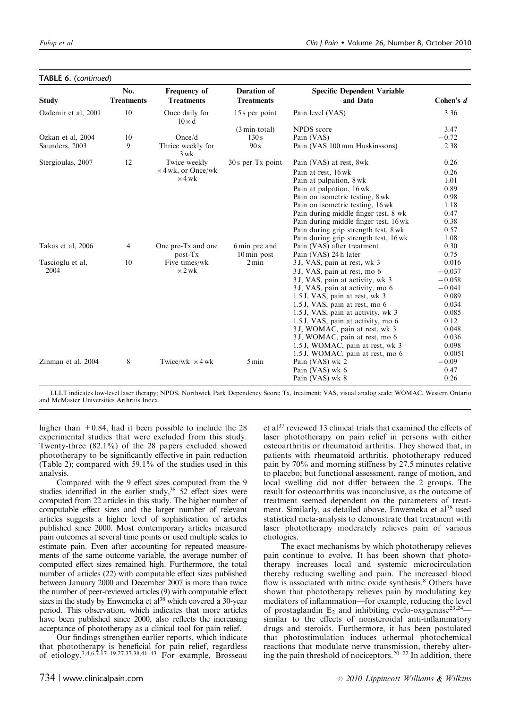|                     | No.               | Frequency of                    | <b>Duration of</b>       | <b>Specific Dependent Variable</b>    |             |
|---------------------|-------------------|---------------------------------|--------------------------|---------------------------------------|-------------|
| <b>Study</b>        | <b>Treatments</b> | <b>Treatments</b>               | <b>Treatments</b>        | and Data                              | Cohen's $d$ |
| Ozdemir et al, 2001 | 10                | Once daily for<br>$10 \times d$ | 15 s per point           | Pain level (VAS)                      | 3.36        |
|                     |                   |                                 | $(3 \text{ min } total)$ | NPDS score                            | 3.47        |
| Ozkan et al, 2004   | 10                | Once/d                          | 130s                     | Pain (VAS)                            | $-0.72$     |
| Saunders, 2003      | 9                 | Thrice weekly for<br>$3$ wk     | 90 s                     | Pain (VAS 100 mm Huskinssons)         | 2.38        |
| Stergioulas, 2007   | 12                | Twice weekly                    | $30 s$ per Tx point      | Pain (VAS) at rest, 8wk               | 0.26        |
|                     |                   | $\times$ 4 wk, or Once/wk       |                          | Pain at rest, 16 wk                   | 0.26        |
|                     |                   | $\times$ 4 wk                   |                          | Pain at palpation, 8 wk               | 1.01        |
|                     |                   |                                 |                          | Pain at palpation, 16 wk              | 0.89        |
|                     |                   |                                 |                          | Pain on isometric testing, 8 wk       | 0.98        |
|                     |                   |                                 |                          | Pain on isometric testing, 16 wk      | 1.18        |
|                     |                   |                                 |                          | Pain during middle finger test, 8 wk  | 0.47        |
|                     |                   |                                 |                          | Pain during middle finger test, 16 wk | 0.38        |
|                     |                   |                                 |                          | Pain during grip strength test, 8 wk  | 0.57        |
|                     |                   |                                 |                          | Pain during grip strength test, 16 wk | 1.08        |
| Takas et al, 2006   | $\overline{4}$    | One pre-Tx and one              | 6 min pre and            | Pain (VAS) after treatment            | 0.30        |
|                     |                   | post-Tx                         | $10 \,\mathrm{min}$ post | Pain (VAS) 24 h later                 | 0.75        |
| Tascioglu et al,    | 10                | Five times/wk                   | $2 \text{ min}$          | 3 J, VAS, pain at rest, wk 3          | 0.016       |
| 2004                |                   | $\times$ 2 wk                   |                          | 3 J, VAS, pain at rest, mo 6          | $-0.037$    |
|                     |                   |                                 |                          | 3 J, VAS, pain at activity, wk 3      | $-0.058$    |
|                     |                   |                                 |                          | 3 J, VAS, pain at activity, mo 6      | $-0.041$    |
|                     |                   |                                 |                          | 1.5 J, VAS, pain at rest, wk 3        | 0.089       |
|                     |                   |                                 |                          | 1.5 J, VAS, pain at rest, mo 6        | 0.034       |
|                     |                   |                                 |                          | 1.5 J, VAS, pain at activity, wk 3    | 0.085       |
|                     |                   |                                 |                          | 1.5 J, VAS, pain at activity, mo 6    | 0.12        |
|                     |                   |                                 |                          | 3J, WOMAC, pain at rest, wk 3         | 0.048       |
|                     |                   |                                 |                          | 3J, WOMAC, pain at rest, mo 6         | 0.036       |
|                     |                   |                                 |                          | 1.5 J, WOMAC, pain at rest, wk 3      | 0.098       |
|                     |                   |                                 |                          | 1.5 J, WOMAC, pain at rest, mo 6      | 0.0051      |
| Zinman et al, 2004  | 8                 | Twice/wk $\times$ 4 wk          | $5 \,\mathrm{min}$       | Pain (VAS) wk 2                       | $-0.09$     |
|                     |                   |                                 |                          | Pain (VAS) wk 6                       | 0.47        |
|                     |                   |                                 |                          | Pain (VAS) wk 8                       | 0.26        |

TABLE 6. (continued)

LLLT indicates low-level laser therapy; NPDS, Northwick Park Dependency Score; Tx, treatment; VAS, visual analog scale; WOMAC, Western Ontario and McMaster Universities Arthritis Index.

higher than  $+0.84$ , had it been possible to include the 28 experimental studies that were excluded from this study. Twenty-three (82.1%) of the 28 papers excluded showed phototherapy to be significantly effective in pain reduction (Table 2); compared with 59.1% of the studies used in this analysis.

Compared with the 9 effect sizes computed from the 9 studies identified in the earlier study,  $38\,$  52 effect sizes were computed from 22 articles in this study. The higher number of computable effect sizes and the larger number of relevant articles suggests a higher level of sophistication of articles published since 2000. Most contemporary articles measured pain outcomes at several time points or used multiple scales to estimate pain. Even after accounting for repeated measurements of the same outcome variable, the average number of computed effect sizes remained high. Furthermore, the total number of articles (22) with computable effect sizes published between January 2000 and December 2007 is more than twice the number of peer-reviewed articles (9) with computable effect sizes in the study by Enwemeka et  $al^{38}$  which covered a 30-year period. This observation, which indicates that more articles have been published since 2000, also reflects the increasing acceptance of phototherapy as a clinical tool for pain relief.

Our findings strengthen earlier reports, which indicate that phototherapy is beneficial for pain relief, regardless of etiology.<sup>3,4,6,7,17–19,27,37,38,41–43</sup> For example, Brosseau

et al<sup>37</sup> reviewed 13 clinical trials that examined the effects of laser phototherapy on pain relief in persons with either osteoarthritis or rheumatoid arthritis. They showed that, in patients with rheumatoid arthritis, phototherapy reduced pain by 70% and morning stiffness by 27.5 minutes relative to placebo; but functional assessment, range of motion, and local swelling did not differ between the 2 groups. The result for osteoarthritis was inconclusive, as the outcome of treatment seemed dependent on the parameters of treatment. Similarly, as detailed above, Enwemeka et al<sup>38</sup> used statistical meta-analysis to demonstrate that treatment with laser phototherapy moderately relieves pain of various etiologies.

The exact mechanisms by which phototherapy relieves pain continue to evolve. It has been shown that phototherapy increases local and systemic microcirculation thereby reducing swelling and pain. The increased blood flow is associated with nitric oxide synthesis.<sup>8</sup> Others have shown that phototherapy relieves pain by modulating key mediators of inflammation—for example, reducing the level of prostaglandin  $E_2$  and inhibiting cyclo-oxygenase<sup>23,24</sup> similar to the effects of nonsteroidal anti-inflammatory drugs and steroids. Furthermore, it has been postulated that photostimulation induces athermal photochemical reactions that modulate nerve transmission, thereby altering the pain threshold of nociceptors.20–22 In addition, there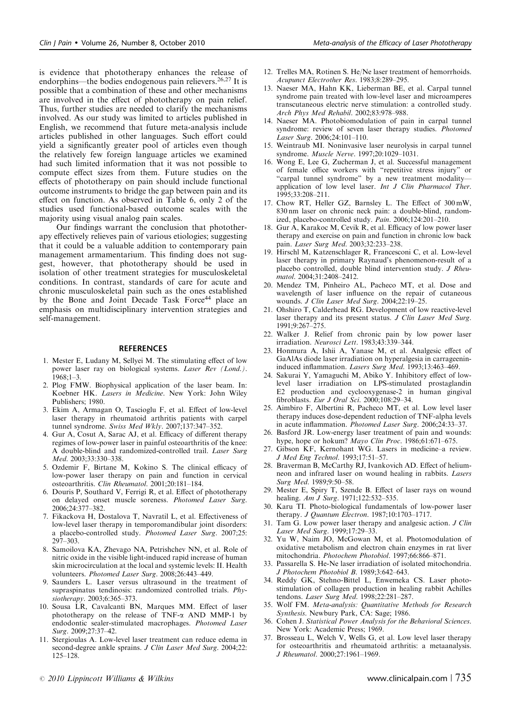is evidence that phototherapy enhances the release of endorphins—the bodies endogenous pain relievers.<sup>26,27</sup> It is possible that a combination of these and other mechanisms are involved in the effect of phototherapy on pain relief. Thus, further studies are needed to clarify the mechanisms involved. As our study was limited to articles published in English, we recommend that future meta-analysis include articles published in other languages. Such effort could yield a significantly greater pool of articles even though the relatively few foreign language articles we examined had such limited information that it was not possible to compute effect sizes from them. Future studies on the effects of phototherapy on pain should include functional outcome instruments to bridge the gap between pain and its effect on function. As observed in Table 6, only 2 of the studies used functional-based outcome scales with the majority using visual analog pain scales.

Our findings warrant the conclusion that phototherapy effectively relieves pain of various etiologies; suggesting that it could be a valuable addition to contemporary pain management armamentarium. This finding does not suggest, however, that phototherapy should be used in isolation of other treatment strategies for musculoskeletal conditions. In contrast, standards of care for acute and chronic musculoskeletal pain such as the ones established by the Bone and Joint Decade Task Force<sup>44</sup> place an emphasis on multidisciplinary intervention strategies and self-management.

#### **REFERENCES**

- 1. Mester E, Ludany M, Sellyei M. The stimulating effect of low power laser ray on biological systems. Laser Rev (Lond.). 1968;1–3.
- 2. Plog FMW. Biophysical application of the laser beam. In: Koebner HK. Lasers in Medicine. New York: John Wiley Publishers; 1980.
- 3. Ekim A, Armagan O, Tascioglu F, et al. Effect of low-level laser therapy in rheumatoid arthritis patients with carpel tunnel syndrome. Swiss Med Wkly. 2007;137:347–352.
- 4. Gur A, Cosut A, Sarac AJ, et al. Efficacy of different therapy regimes of low-power laser in painful osteoarthritis of the knee: A double-blind and randomized-controlled trail. Laser Surg Med. 2003;33:330–338.
- 5. Ozdemir F, Birtane M, Kokino S. The clinical efficacy of low-power laser therapy on pain and function in cervical osteoarthritis. Clin Rheumatol. 2001;20:181–184.
- 6. Douris P, Southard V, Ferrigi R, et al. Effect of phototherapy on delayed onset muscle soreness. Photomed Laser Surg. 2006;24:377–382.
- 7. Fikackova H, Dostalova T, Navratil L, et al. Effectiveness of low-level laser therapy in temporomandibular joint disorders: a placebo-controlled study. Photomed Laser Surg. 2007;25: 297–303.
- 8. Samoilova KA, Zhevago NA, Petrishchev NN, et al. Role of nitric oxide in the visible light-induced rapid increase of human skin microcirculation at the local and systemic levels: II. Health volunteers. Photomed Laser Surg. 2008;26:443–449.
- 9. Saunders L. Laser versus ultrasound in the treatment of supraspinatus tendinosis: randomized controlled trials. Physiotherapy. 2003;6:365–373.
- 10. Sousa LR, Cavalcanti BN, Marques MM. Effect of laser phototherapy on the release of  $TNF-\alpha$  AND MMP-1 by endodontic sealer-stimulated macrophages. Photomed Laser Surg. 2009;27:37–42.
- 11. Stergioulas A. Low-level laser treatment can reduce edema in second-degree ankle sprains. J Clin Laser Med Surg. 2004;22: 125–128.
- 12. Trelles MA, Rotinen S. He/Ne laser treatment of hemorrhoids. Acupunct Electrother Res. 1983;8:289–295.
- 13. Naeser MA, Hahn KK, Lieberman BE, et al. Carpal tunnel syndrome pain treated with low-level laser and microamperes transcutaneous electric nerve stimulation: a controlled study. Arch Phys Med Rehabil. 2002;83:978–988.
- 14. Naeser MA. Photobiomodulation of pain in carpal tunnel syndrome: review of seven laser therapy studies. Photomed Laser Surg. 2006;24:101–110.
- 15. Weintraub MI. Noninvasive laser neurolysis in carpal tunnel syndrome. Muscle Nerve. 1997;20:1029-1031.
- 16. Wong E, Lee G, Zucherman J, et al. Successful management of female office workers with "repetitive stress injury" or "carpal tunnel syndrome" by a new treatment modality application of low level laser. Int J Clin Pharmacol Ther. 1995;33:208–211.
- 17. Chow RT, Heller GZ, Barnsley L. The Effect of 300 mW, 830 nm laser on chronic neck pain: a double-blind, randomized, placebo-controlled study. Pain. 2006;124:201–210.
- 18. Gur A, Karakoc M, Cevik R, et al. Efficacy of low power laser therapy and exercise on pain and function in chronic low back pain. Laser Surg Med. 2003;32:233–238.
- 19. Hirschl M, Katzenschlager R, Francesconi C, et al. Low-level laser therapy in primary Raynaud's phenomenon-result of a placebo controlled, double blind intervention study. J Rheumatol. 2004;31:2408–2412.
- 20. Mendez TM, Pinheiro AL, Pacheco MT, et al. Dose and wavelength of laser influence on the repair of cutaneous wounds. J Clin Laser Med Surg. 2004;22:19–25.
- 21. Ohshiro T, Calderhead RG. Development of low reactive-level laser therapy and its present status. J Clin Laser Med Surg. 1991;9:267–275.
- 22. Walker J. Relief from chronic pain by low power laser irradiation. Neurosci Lett. 1983;43:339–344.
- 23. Honmura A, Ishii A, Yanase M, et al. Analgesic effect of GaAlAs diode laser irradiation on hyperalgesia in carrageenininduced inflammation. Lasers Surg Med. 1993;13:463–469.
- 24. Sakurai Y, Yamaguchi M, Abiko Y. Inhibitory effect of lowlevel laser irradiation on LPS-stimulated prostaglandin E2 production and cyclooxygenase-2 in human gingival fibroblasts. Eur J Oral Sci. 2000;108:29–34.
- 25. Aimbiro F, Albertini R, Pacheco MT, et al. Low level laser therapy induces dose-dependent reduction of TNF-alpha levels in acute inflammation. Photomed Laser Surg. 2006;24:33–37.
- 26. Basford JR. Low-energy laser treatment of pain and wounds: hype, hope or hokum? Mayo Clin Proc. 1986;61:671-675.
- 27. Gibson KF, Kernohant WG. Lasers in medicine–a review. J Med Eng Technol. 1993;17:51–57.
- 28. Braverman B, McCarthy RJ, Ivankovich AD. Effect of heliumneon and infrared laser on wound healing in rabbits. Lasers Surg Med. 1989;9:50–58.
- 29. Mester E, Spiry T, Szende B. Effect of laser rays on wound healing. Am J Surg. 1971;122:532-535.
- 30. Karu TI. Photo-biological fundamentals of low-power laser therapy. *J Quantum Electron*. 1987;10:1703-1717.
- 31. Tam G. Low power laser therapy and analgesic action. J Clin Laser Med Surg. 1999;17:29–33.
- 32. Yu W, Naim JO, McGowan M, et al. Photomodulation of oxidative metabolism and electron chain enzymes in rat liver mitochondria. Photochem Photobiol. 1997;66:866–871.
- 33. Passarella S. He-Ne laser irradiation of isolated mitochondria. J Photochem Photobiol B. 1989;3:642–643.
- 34. Reddy GK, Stehno-Bittel L, Enwemeka CS. Laser photostimulation of collagen production in healing rabbit Achilles tendons. Laser Surg Med. 1998;22:281–287.
- 35. Wolf FM. Meta-analysis: Quantitative Methods for Research Synthesis. Newbury Park, CA: Sage; 1986.
- 36. Cohen J. Statistical Power Analysis for the Behavioral Sciences. New York: Academic Press; 1969.
- 37. Brosseau L, Welch V, Wells G, et al. Low level laser therapy for osteoarthritis and rheumatoid arthritis: a metaanalysis. J Rheumatol. 2000;27:1961–1969.